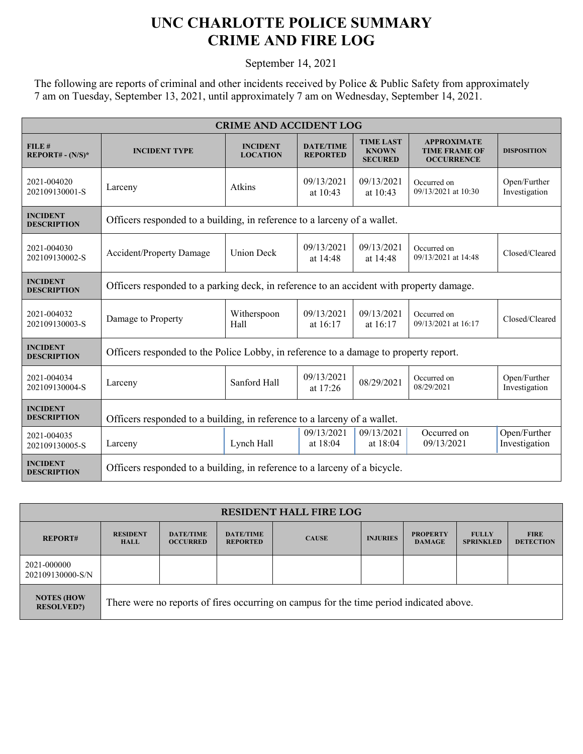## **UNC CHARLOTTE POLICE SUMMARY CRIME AND FIRE LOG**

September 14, 2021

The following are reports of criminal and other incidents received by Police & Public Safety from approximately 7 am on Tuesday, September 13, 2021, until approximately 7 am on Wednesday, September 14, 2021.

| <b>CRIME AND ACCIDENT LOG</b>         |                                                                                         |                                    |                                     |                                                    |                                                                 |                               |  |  |
|---------------------------------------|-----------------------------------------------------------------------------------------|------------------------------------|-------------------------------------|----------------------------------------------------|-----------------------------------------------------------------|-------------------------------|--|--|
| FILE#<br>$REPORT# - (N/S)*$           | <b>INCIDENT TYPE</b>                                                                    | <b>INCIDENT</b><br><b>LOCATION</b> | <b>DATE/TIME</b><br><b>REPORTED</b> | <b>TIME LAST</b><br><b>KNOWN</b><br><b>SECURED</b> | <b>APPROXIMATE</b><br><b>TIME FRAME OF</b><br><b>OCCURRENCE</b> | <b>DISPOSITION</b>            |  |  |
| 2021-004020<br>202109130001-S         | Larceny                                                                                 | Atkins                             | 09/13/2021<br>at $10:43$            | 09/13/2021<br>at 10:43                             | Occurred on<br>09/13/2021 at 10:30                              | Open/Further<br>Investigation |  |  |
| <b>INCIDENT</b><br><b>DESCRIPTION</b> | Officers responded to a building, in reference to a larceny of a wallet.                |                                    |                                     |                                                    |                                                                 |                               |  |  |
| 2021-004030<br>202109130002-S         | Accident/Property Damage                                                                | <b>Union Deck</b>                  | 09/13/2021<br>at 14:48              | 09/13/2021<br>at 14:48                             | Occurred on<br>09/13/2021 at 14:48                              | Closed/Cleared                |  |  |
| <b>INCIDENT</b><br><b>DESCRIPTION</b> | Officers responded to a parking deck, in reference to an accident with property damage. |                                    |                                     |                                                    |                                                                 |                               |  |  |
| 2021-004032<br>202109130003-S         | Damage to Property                                                                      | Witherspoon<br>Hall                | 09/13/2021<br>at 16:17              | 09/13/2021<br>at $16:17$                           | Occurred on<br>09/13/2021 at 16:17                              | Closed/Cleared                |  |  |
| <b>INCIDENT</b><br><b>DESCRIPTION</b> | Officers responded to the Police Lobby, in reference to a damage to property report.    |                                    |                                     |                                                    |                                                                 |                               |  |  |
| 2021-004034<br>202109130004-S         | Larceny                                                                                 | Sanford Hall                       | 09/13/2021<br>at $17:26$            | 08/29/2021                                         | Occurred on<br>08/29/2021                                       | Open/Further<br>Investigation |  |  |
| <b>INCIDENT</b><br><b>DESCRIPTION</b> | Officers responded to a building, in reference to a larceny of a wallet.                |                                    |                                     |                                                    |                                                                 |                               |  |  |
| 2021-004035<br>202109130005-S         | Larceny                                                                                 | Lynch Hall                         | 09/13/2021<br>at $18:04$            | 09/13/2021<br>at 18:04                             | Occurred on<br>09/13/2021                                       | Open/Further<br>Investigation |  |  |
| <b>INCIDENT</b><br><b>DESCRIPTION</b> | Officers responded to a building, in reference to a larceny of a bicycle.               |                                    |                                     |                                                    |                                                                 |                               |  |  |

| <b>RESIDENT HALL FIRE LOG</b>          |                                                                                         |                                     |                                     |              |                 |                                  |                                  |                                 |
|----------------------------------------|-----------------------------------------------------------------------------------------|-------------------------------------|-------------------------------------|--------------|-----------------|----------------------------------|----------------------------------|---------------------------------|
| <b>REPORT#</b>                         | <b>RESIDENT</b><br><b>HALL</b>                                                          | <b>DATE/TIME</b><br><b>OCCURRED</b> | <b>DATE/TIME</b><br><b>REPORTED</b> | <b>CAUSE</b> | <b>INJURIES</b> | <b>PROPERTY</b><br><b>DAMAGE</b> | <b>FULLY</b><br><b>SPRINKLED</b> | <b>FIRE</b><br><b>DETECTION</b> |
| 2021-000000<br>202109130000-S/N        |                                                                                         |                                     |                                     |              |                 |                                  |                                  |                                 |
| <b>NOTES (HOW</b><br><b>RESOLVED?)</b> | There were no reports of fires occurring on campus for the time period indicated above. |                                     |                                     |              |                 |                                  |                                  |                                 |